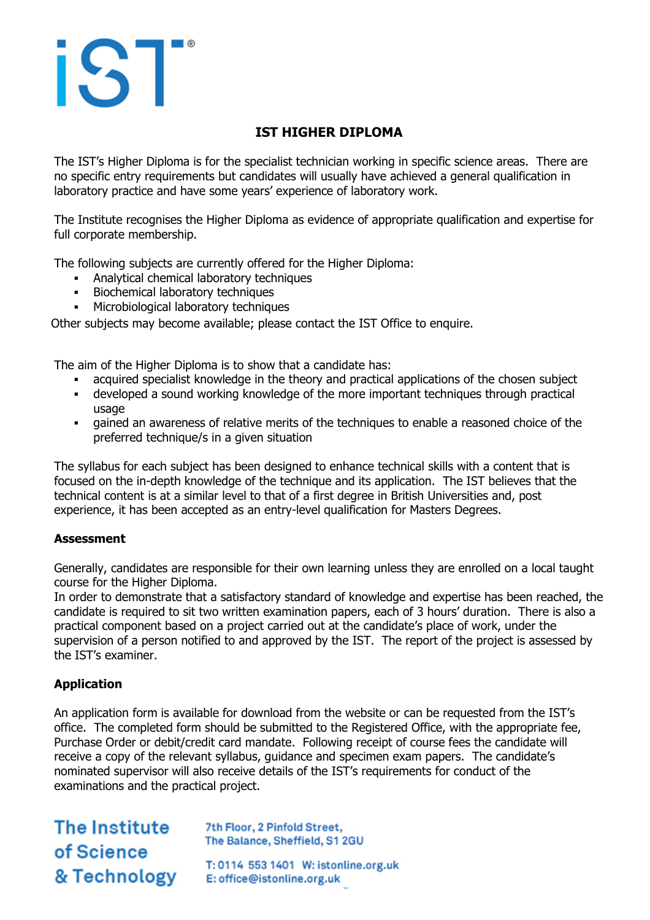# iST

# **IST HIGHER DIPLOMA**

The IST's Higher Diploma is for the specialist technician working in specific science areas. There are no specific entry requirements but candidates will usually have achieved a general qualification in laboratory practice and have some years' experience of laboratory work.

The Institute recognises the Higher Diploma as evidence of appropriate qualification and expertise for full corporate membership.

The following subjects are currently offered for the Higher Diploma:

- Analytical chemical laboratory techniques
- Biochemical laboratory techniques
- **Microbiological laboratory techniques**

Other subjects may become available; please contact the IST Office to enquire.

The aim of the Higher Diploma is to show that a candidate has:

- acquired specialist knowledge in the theory and practical applications of the chosen subject
- developed a sound working knowledge of the more important techniques through practical usage
- gained an awareness of relative merits of the techniques to enable a reasoned choice of the preferred technique/s in a given situation

The syllabus for each subject has been designed to enhance technical skills with a content that is focused on the in-depth knowledge of the technique and its application. The IST believes that the technical content is at a similar level to that of a first degree in British Universities and, post experience, it has been accepted as an entry-level qualification for Masters Degrees.

## **Assessment**

Generally, candidates are responsible for their own learning unless they are enrolled on a local taught course for the Higher Diploma.

In order to demonstrate that a satisfactory standard of knowledge and expertise has been reached, the candidate is required to sit two written examination papers, each of 3 hours' duration. There is also a practical component based on a project carried out at the candidate's place of work, under the supervision of a person notified to and approved by the IST. The report of the project is assessed by the IST's examiner.

## **Application**

An application form is available for download from the website or can be requested from the IST's office. The completed form should be submitted to the Registered Office, with the appropriate fee, Purchase Order or debit/credit card mandate. Following receipt of course fees the candidate will receive a copy of the relevant syllabus, guidance and specimen exam papers. The candidate's nominated supervisor will also receive details of the IST's requirements for conduct of the examinations and the practical project.

The Institute The Balance, Sheffield, S12<br> **Of Science**<br>
T: 0114 553 1401 W: istonl<br>
E: office@istonline.org.uk

7th Floor, 2 Pinfold Street, The Balance, Sheffield, S1 2GU

T: 0114 553 1401 W: istonline.org.uk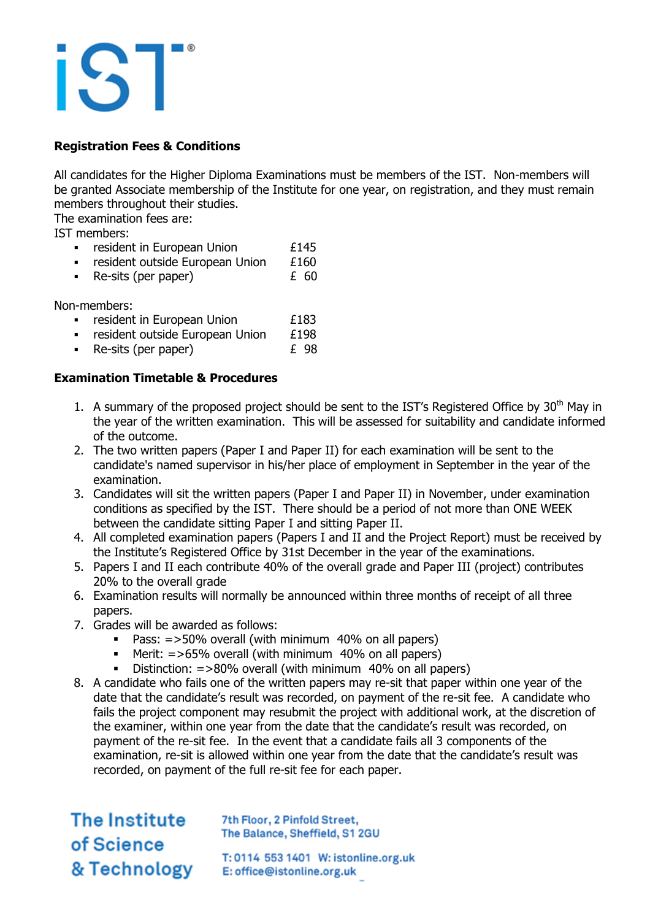## **Registration Fees & Conditions**

All candidates for the Higher Diploma Examinations must be members of the IST. Non-members will be granted Associate membership of the Institute for one year, on registration, and they must remain members throughout their studies.

The examination fees are:

IST members:

- resident in European Union 1995<br>Entry Serient outside European Union 1996
- resident outside European Union  $£160$ <br>Re-sits (per paper)  $£60$
- $\blacksquare$  Re-sits (per paper)

Non-members:

- resident in European Union  $£183$ <br>resident outside European Union  $£198$
- **Example 1** resident outside European Union
- Re-sits (per paper)  $E = 98$

## **Examination Timetable & Procedures**

- 1. A summary of the proposed project should be sent to the IST's Registered Office by  $30<sup>th</sup>$  May in the year of the written examination. This will be assessed for suitability and candidate informed of the outcome.
- 2. The two written papers (Paper I and Paper II) for each examination will be sent to the candidate's named supervisor in his/her place of employment in September in the year of the examination.
- 3. Candidates will sit the written papers (Paper I and Paper II) in November, under examination conditions as specified by the IST. There should be a period of not more than ONE WEEK between the candidate sitting Paper I and sitting Paper II.
- 4. All completed examination papers (Papers I and II and the Project Report) must be received by the Institute's Registered Office by 31st December in the year of the examinations.
- 5. Papers I and II each contribute 40% of the overall grade and Paper III (project) contributes 20% to the overall grade
- 6. Examination results will normally be announced within three months of receipt of all three papers.
- 7. Grades will be awarded as follows:
	- Pass: =>50% overall (with minimum 40% on all papers)
	- Merit: =>65% overall (with minimum 40% on all papers)
	- Distinction: =>80% overall (with minimum 40% on all papers)
- 8. A candidate who fails one of the written papers may re-sit that paper within one year of the date that the candidate's result was recorded, on payment of the re-sit fee. A candidate who fails the project component may resubmit the project with additional work, at the discretion of the examiner, within one year from the date that the candidate's result was recorded, on payment of the re-sit fee. In the event that a candidate fails all 3 components of the examination, re-sit is allowed within one year from the date that the candidate's result was recorded, on payment of the full re-sit fee for each paper.

The Institute of Science & Technology

7th Floor, 2 Pinfold Street, The Balance, Sheffield, S1 2GU

T: 0114 553 1401 W: istonline.org.uk E: office@istonline.org.uk